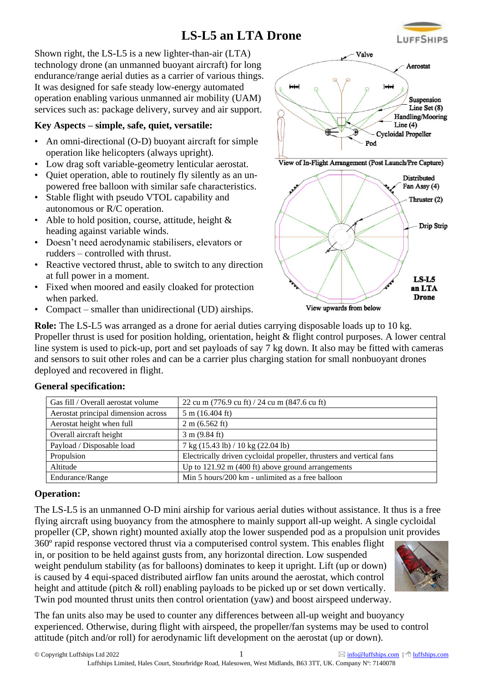## **LS-L5 an LTA Drone**

Shown right, the LS-L5 is a new lighter-than-air (LTA) technology drone (an unmanned buoyant aircraft) for long endurance/range aerial duties as a carrier of various things. It was designed for safe steady low-energy automated operation enabling various unmanned air mobility (UAM) services such as: package delivery, survey and air support.

### **Key Aspects – simple, safe, quiet, versatile:**

- An omni-directional (O-D) buoyant aircraft for simple operation like helicopters (always upright).
- Low drag soft variable-geometry lenticular aerostat. • Quiet operation, able to routinely fly silently as an un-
- powered free balloon with similar safe characteristics. Stable flight with pseudo VTOL capability and
- autonomous or R/C operation.
- Able to hold position, course, attitude, height & heading against variable winds.
- Doesn't need aerodynamic stabilisers, elevators or rudders – controlled with thrust.
- Reactive vectored thrust, able to switch to any direction at full power in a moment.
- Fixed when moored and easily cloaked for protection when parked.
- Compact smaller than unidirectional (UD) airships.

Aerostat principal dimension across  $\frac{1}{5}$  m (16.404 ft) Aerostat height when full  $2 \text{ m} (6.562 \text{ ft})$ Overall aircraft height 3 m (9.84 ft)

**Role:** The LS-L5 was arranged as a drone for aerial duties carrying disposable loads up to 10 kg. Propeller thrust is used for position holding, orientation, height & flight control purposes. A lower central line system is used to pick-up, port and set payloads of say 7 kg down. It also may be fitted with cameras and sensors to suit other roles and can be a carrier plus charging station for small nonbuoyant drones deployed and recovered in flight.

#### **General specification:**

|                   | Propulsion      | Electrically driven cycloidal propeller, thrusters and vertical fans |
|-------------------|-----------------|----------------------------------------------------------------------|
|                   | Altitude        | Up to $121.92 \text{ m}$ (400 ft) above ground arrangements          |
|                   | Endurance/Range | Min 5 hours/200 km - unlimited as a free balloon                     |
| <b>Operation:</b> |                 |                                                                      |
|                   | _____           |                                                                      |

The LS-L5 is an unmanned O-D mini airship for various aerial duties without assistance. It thus is a free flying aircraft using buoyancy from the atmosphere to mainly support all-up weight. A single cycloidal propeller (CP, shown right) mounted axially atop the lower suspended pod as a propulsion unit provides

360º rapid response vectored thrust via a computerised control system. This enables flight in, or position to be held against gusts from, any horizontal direction. Low suspended weight pendulum stability (as for balloons) dominates to keep it upright. Lift (up or down) is caused by 4 equi-spaced distributed airflow fan units around the aerostat, which control height and attitude (pitch & roll) enabling payloads to be picked up or set down vertically. Twin pod mounted thrust units then control orientation (yaw) and boost airspeed underway.

Gas fill / Overall aerostat volume  $\int 22 \text{ cu m} (776.9 \text{ cu ft}) / 24 \text{ cu m} (847.6 \text{ cu ft})$ 

Payload / Disposable load  $7 \text{ kg } (15.43 \text{ lb}) / 10 \text{ kg } (22.04 \text{ lb})$ 

The fan units also may be used to counter any differences between all-up weight and buoyancy experienced. Otherwise, during flight with airspeed, the propeller/fan systems may be used to control attitude (pitch and/or roll) for aerodynamic lift development on the aerostat (up or down).